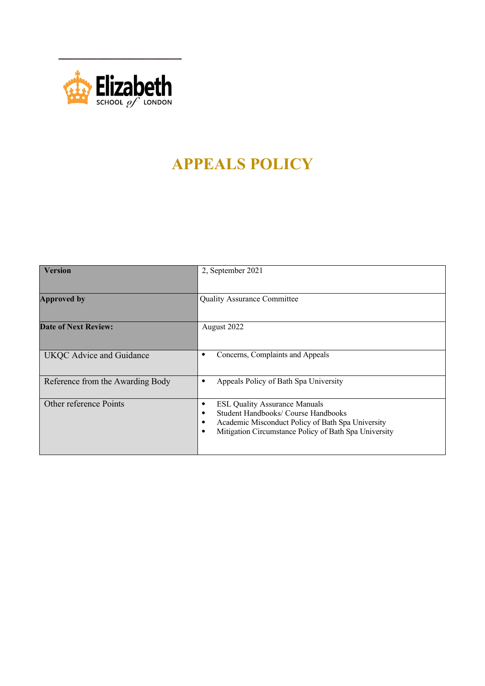

# **APPEALS POLICY**

| <b>Version</b>                   | 2, September 2021                                                                                                                                                                                                     |  |  |
|----------------------------------|-----------------------------------------------------------------------------------------------------------------------------------------------------------------------------------------------------------------------|--|--|
| <b>Approved by</b>               | <b>Quality Assurance Committee</b>                                                                                                                                                                                    |  |  |
| <b>Date of Next Review:</b>      | August 2022                                                                                                                                                                                                           |  |  |
| UKQC Advice and Guidance         | Concerns, Complaints and Appeals<br>٠                                                                                                                                                                                 |  |  |
| Reference from the Awarding Body | Appeals Policy of Bath Spa University<br>٠                                                                                                                                                                            |  |  |
| Other reference Points           | <b>ESL Quality Assurance Manuals</b><br>٠<br>Student Handbooks/ Course Handbooks<br>٠<br>Academic Misconduct Policy of Bath Spa University<br>٠<br>Mitigation Circumstance Policy of Bath Spa University<br>$\bullet$ |  |  |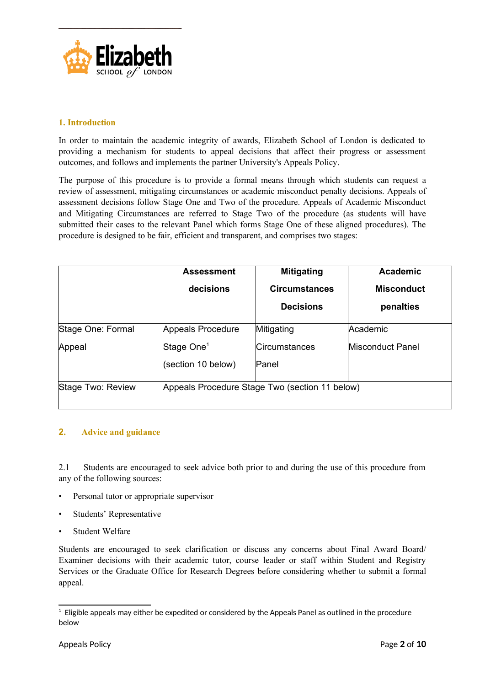

## **1. Introduction**

In order to maintain the academic integrity of awards, Elizabeth School of London is dedicated to providing a mechanism for students to appeal decisions that affect their progress or assessment outcomes, and follows and implements the partner University's Appeals Policy.

The purpose of this procedure is to provide a formal means through which students can request a review of assessment, mitigating circumstances or academic misconduct penalty decisions. Appeals of assessment decisions follow Stage One and Two of the procedure. Appeals of Academic Misconduct and Mitigating Circumstances are referred to Stage Two of the procedure (as students will have submitted their cases to the relevant Panel which forms Stage One of these aligned procedures). The procedure is designed to be fair, efficient and transparent, and comprises two stages:

|                   | <b>Assessment</b>                              | <b>Mitigating</b>                    | <b>Academic</b>   |
|-------------------|------------------------------------------------|--------------------------------------|-------------------|
|                   | decisions                                      | <b>Circumstances</b>                 | <b>Misconduct</b> |
|                   |                                                | <b>Decisions</b>                     | penalties         |
| Stage One: Formal | Appeals Procedure                              | Mitigating                           | <b>Academic</b>   |
| Appeal            | Stage One <sup>1</sup><br>(section 10 below)   | <b>Circumstances</b><br><b>Panel</b> | Misconduct Panel  |
| Stage Two: Review | Appeals Procedure Stage Two (section 11 below) |                                      |                   |

## **2. Advice and guidance**

2.1 Students are encouraged to seek advice both prior to and during the use of this procedure from any of the following sources:

- Personal tutor or appropriate supervisor
- Students' Representative
- Student Welfare

Students are encouraged to seek clarification or discuss any concerns about Final Award Board/ Examiner decisions with their academic tutor, course leader or staff within Student and Registry Services or the Graduate Office for Research Degrees before considering whether to submit a formal appeal.

<span id="page-1-0"></span> $^{\rm 1}$  Eligible appeals may either be expedited or considered by the Appeals Panel as outlined in the procedure below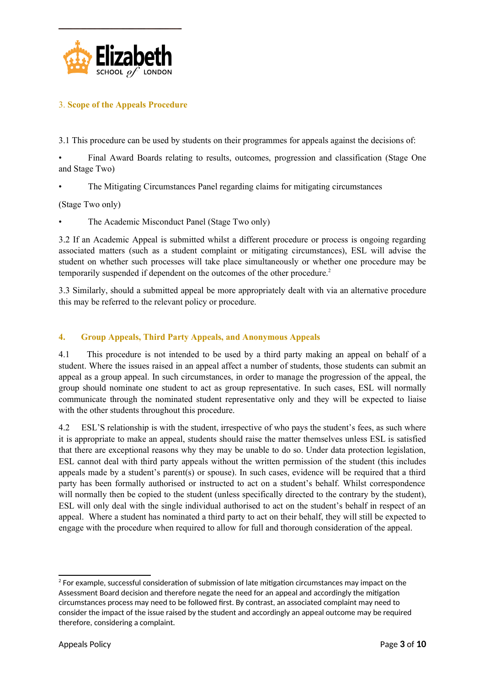

# 3. **Scope of the Appeals Procedure**

3.1 This procedure can be used by students on their programmes for appeals against the decisions of:

• Final Award Boards relating to results, outcomes, progression and classification (Stage One and Stage Two)

• The Mitigating Circumstances Panel regarding claims for mitigating circumstances

(Stage Two only)

• The Academic Misconduct Panel (Stage Two only)

3.2 If an Academic Appeal is submitted whilst a different procedure or process is ongoing regarding associated matters (such as a student complaint or mitigating circumstances), ESL will advise the student on whether such processes will take place simultaneously or whether one procedure may be temporarily suspended if dependent on the outcomes of the other procedure.<sup>[2](#page-2-0)</sup>

3.3 Similarly, should a submitted appeal be more appropriately dealt with via an alternative procedure this may be referred to the relevant policy or procedure.

## **4. Group Appeals, Third Party Appeals, and Anonymous Appeals**

4.1 This procedure is not intended to be used by a third party making an appeal on behalf of a student. Where the issues raised in an appeal affect a number of students, those students can submit an appeal as a group appeal. In such circumstances, in order to manage the progression of the appeal, the group should nominate one student to act as group representative. In such cases, ESL will normally communicate through the nominated student representative only and they will be expected to liaise with the other students throughout this procedure.

4.2 ESL'S relationship is with the student, irrespective of who pays the student's fees, as such where it is appropriate to make an appeal, students should raise the matter themselves unless ESL is satisfied that there are exceptional reasons why they may be unable to do so. Under data protection legislation, ESL cannot deal with third party appeals without the written permission of the student (this includes appeals made by a student's parent(s) or spouse). In such cases, evidence will be required that a third party has been formally authorised or instructed to act on a student's behalf. Whilst correspondence will normally then be copied to the student (unless specifically directed to the contrary by the student), ESL will only deal with the single individual authorised to act on the student's behalf in respect of an appeal. Where a student has nominated a third party to act on their behalf, they will still be expected to engage with the procedure when required to allow for full and thorough consideration of the appeal.

<span id="page-2-0"></span> $^{\rm 2}$  For example, successful consideration of submission of late mitigation circumstances may impact on the Assessment Board decision and therefore negate the need for an appeal and accordingly the mitigation circumstances process may need to be followed first. By contrast, an associated complaint may need to consider the impact of the issue raised by the student and accordingly an appeal outcome may be required therefore, considering a complaint.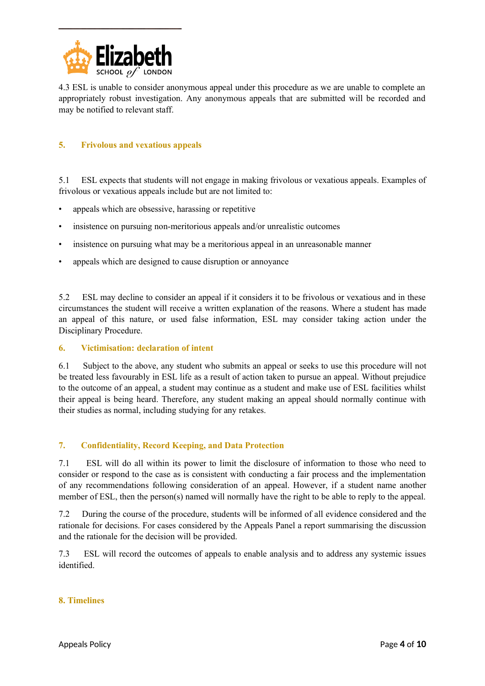

4.3 ESL is unable to consider anonymous appeal under this procedure as we are unable to complete an appropriately robust investigation. Any anonymous appeals that are submitted will be recorded and may be notified to relevant staff.

## **5. Frivolous and vexatious appeals**

5.1 ESL expects that students will not engage in making frivolous or vexatious appeals. Examples of frivolous or vexatious appeals include but are not limited to:

- appeals which are obsessive, harassing or repetitive
- insistence on pursuing non-meritorious appeals and/or unrealistic outcomes
- insistence on pursuing what may be a meritorious appeal in an unreasonable manner
- appeals which are designed to cause disruption or annoyance

5.2 ESL may decline to consider an appeal if it considers it to be frivolous or vexatious and in these circumstances the student will receive a written explanation of the reasons. Where a student has made an appeal of this nature, or used false information, ESL may consider taking action under the Disciplinary Procedure.

#### **6. Victimisation: declaration of intent**

6.1 Subject to the above, any student who submits an appeal or seeks to use this procedure will not be treated less favourably in ESL life as a result of action taken to pursue an appeal. Without prejudice to the outcome of an appeal, a student may continue as a student and make use of ESL facilities whilst their appeal is being heard. Therefore, any student making an appeal should normally continue with their studies as normal, including studying for any retakes.

## **7. Confidentiality, Record Keeping, and Data Protection**

7.1 ESL will do all within its power to limit the disclosure of information to those who need to consider or respond to the case as is consistent with conducting a fair process and the implementation of any recommendations following consideration of an appeal. However, if a student name another member of ESL, then the person(s) named will normally have the right to be able to reply to the appeal.

7.2 During the course of the procedure, students will be informed of all evidence considered and the rationale for decisions. For cases considered by the Appeals Panel a report summarising the discussion and the rationale for the decision will be provided.

7.3 ESL will record the outcomes of appeals to enable analysis and to address any systemic issues identified.

#### **8. Timelines**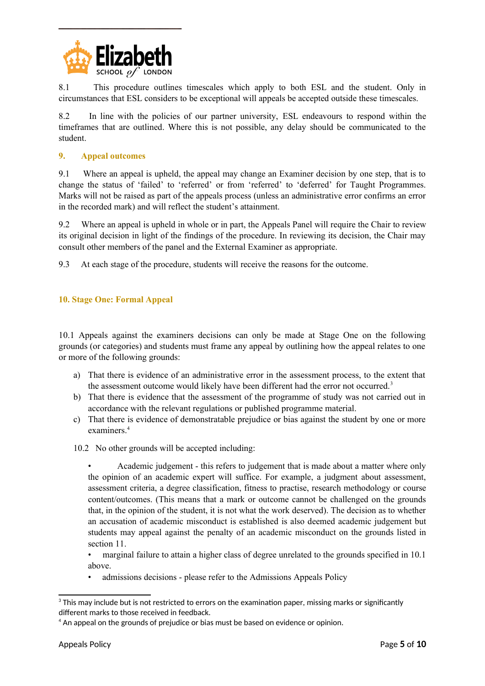

8.1 This procedure outlines timescales which apply to both ESL and the student. Only in circumstances that ESL considers to be exceptional will appeals be accepted outside these timescales.

8.2 In line with the policies of our partner university, ESL endeavours to respond within the timeframes that are outlined. Where this is not possible, any delay should be communicated to the student.

## **9. Appeal outcomes**

9.1 Where an appeal is upheld, the appeal may change an Examiner decision by one step, that is to change the status of 'failed' to 'referred' or from 'referred' to 'deferred' for Taught Programmes. Marks will not be raised as part of the appeals process (unless an administrative error confirms an error in the recorded mark) and will reflect the student's attainment.

9.2 Where an appeal is upheld in whole or in part, the Appeals Panel will require the Chair to review its original decision in light of the findings of the procedure. In reviewing its decision, the Chair may consult other members of the panel and the External Examiner as appropriate.

9.3 At each stage of the procedure, students will receive the reasons for the outcome.

#### **10. Stage One: Formal Appeal**

10.1 Appeals against the examiners decisions can only be made at Stage One on the following grounds (or categories) and students must frame any appeal by outlining how the appeal relates to one or more of the following grounds:

- a) That there is evidence of an administrative error in the assessment process, to the extent that the assessment outcome would likely have been different had the error not occurred.<sup>[3](#page-4-0)</sup>
- b) That there is evidence that the assessment of the programme of study was not carried out in accordance with the relevant regulations or published programme material.
- c) That there is evidence of demonstratable prejudice or bias against the student by one or more examiners.<sup>[4](#page-4-1)</sup>

10.2 No other grounds will be accepted including:

• Academic judgement - this refers to judgement that is made about a matter where only the opinion of an academic expert will suffice. For example, a judgment about assessment, assessment criteria, a degree classification, fitness to practise, research methodology or course content/outcomes. (This means that a mark or outcome cannot be challenged on the grounds that, in the opinion of the student, it is not what the work deserved). The decision as to whether an accusation of academic misconduct is established is also deemed academic judgement but students may appeal against the penalty of an academic misconduct on the grounds listed in section 11.

• marginal failure to attain a higher class of degree unrelated to the grounds specified in 10.1 above.

• admissions decisions - please refer to the Admissions Appeals Policy

<span id="page-4-0"></span> $^{\rm 3}$  This may include but is not restricted to errors on the examination paper, missing marks or significantly different marks to those received in feedback.

<span id="page-4-1"></span><sup>&</sup>lt;sup>4</sup> An appeal on the grounds of prejudice or bias must be based on evidence or opinion.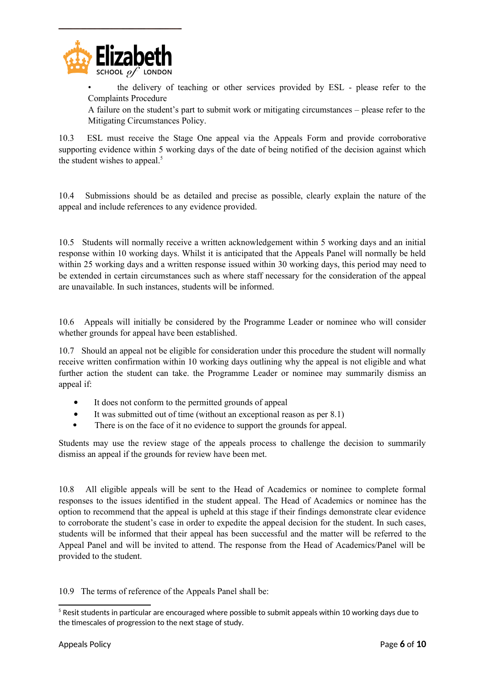

• the delivery of teaching or other services provided by ESL - please refer to the Complaints Procedure

A failure on the student's part to submit work or mitigating circumstances – please refer to the Mitigating Circumstances Policy.

10.3 ESL must receive the Stage One appeal via the Appeals Form and provide corroborative supporting evidence within 5 working days of the date of being notified of the decision against which the student wishes to appeal.<sup>[5](#page-5-0)</sup>

10.4 Submissions should be as detailed and precise as possible, clearly explain the nature of the appeal and include references to any evidence provided.

10.5 Students will normally receive a written acknowledgement within 5 working days and an initial response within 10 working days. Whilst it is anticipated that the Appeals Panel will normally be held within 25 working days and a written response issued within 30 working days, this period may need to be extended in certain circumstances such as where staff necessary for the consideration of the appeal are unavailable. In such instances, students will be informed.

10.6 Appeals will initially be considered by the Programme Leader or nominee who will consider whether grounds for appeal have been established.

10.7 Should an appeal not be eligible for consideration under this procedure the student will normally receive written confirmation within 10 working days outlining why the appeal is not eligible and what further action the student can take. the Programme Leader or nominee may summarily dismiss an appeal if:

- It does not conform to the permitted grounds of appeal
- It was submitted out of time (without an exceptional reason as per 8.1)
- There is on the face of it no evidence to support the grounds for appeal.

Students may use the review stage of the appeals process to challenge the decision to summarily dismiss an appeal if the grounds for review have been met.

10.8 All eligible appeals will be sent to the Head of Academics or nominee to complete formal responses to the issues identified in the student appeal. The Head of Academics or nominee has the option to recommend that the appeal is upheld at this stage if their findings demonstrate clear evidence to corroborate the student's case in order to expedite the appeal decision for the student. In such cases, students will be informed that their appeal has been successful and the matter will be referred to the Appeal Panel and will be invited to attend. The response from the Head of Academics/Panel will be provided to the student.

10.9 The terms of reference of the Appeals Panel shall be:

<span id="page-5-0"></span><sup>&</sup>lt;sup>5</sup> Resit students in particular are encouraged where possible to submit appeals within 10 working days due to the timescales of progression to the next stage of study.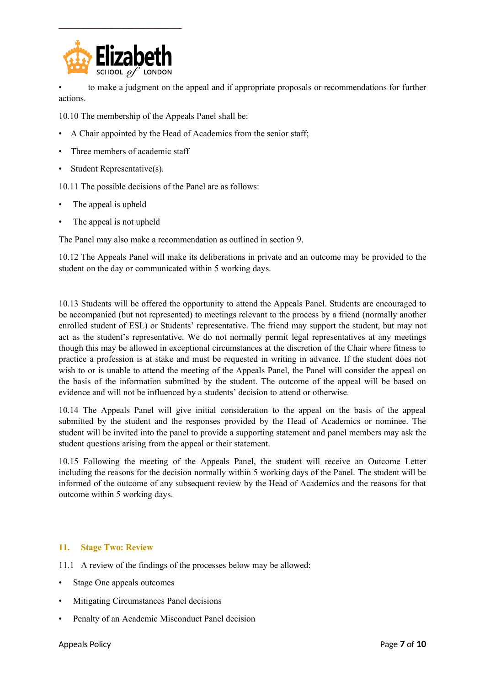

• to make a judgment on the appeal and if appropriate proposals or recommendations for further actions.

10.10 The membership of the Appeals Panel shall be:

- A Chair appointed by the Head of Academics from the senior staff;
- Three members of academic staff
- Student Representative(s).

10.11 The possible decisions of the Panel are as follows:

- The appeal is upheld
- The appeal is not upheld

The Panel may also make a recommendation as outlined in section 9.

10.12 The Appeals Panel will make its deliberations in private and an outcome may be provided to the student on the day or communicated within 5 working days.

10.13 Students will be offered the opportunity to attend the Appeals Panel. Students are encouraged to be accompanied (but not represented) to meetings relevant to the process by a friend (normally another enrolled student of ESL) or Students' representative. The friend may support the student, but may not act as the student's representative. We do not normally permit legal representatives at any meetings though this may be allowed in exceptional circumstances at the discretion of the Chair where fitness to practice a profession is at stake and must be requested in writing in advance. If the student does not wish to or is unable to attend the meeting of the Appeals Panel, the Panel will consider the appeal on the basis of the information submitted by the student. The outcome of the appeal will be based on evidence and will not be influenced by a students' decision to attend or otherwise.

10.14 The Appeals Panel will give initial consideration to the appeal on the basis of the appeal submitted by the student and the responses provided by the Head of Academics or nominee. The student will be invited into the panel to provide a supporting statement and panel members may ask the student questions arising from the appeal or their statement.

10.15 Following the meeting of the Appeals Panel, the student will receive an Outcome Letter including the reasons for the decision normally within 5 working days of the Panel. The student will be informed of the outcome of any subsequent review by the Head of Academics and the reasons for that outcome within 5 working days.

#### **11. Stage Two: Review**

- 11.1 A review of the findings of the processes below may be allowed:
- Stage One appeals outcomes
- Mitigating Circumstances Panel decisions
- Penalty of an Academic Misconduct Panel decision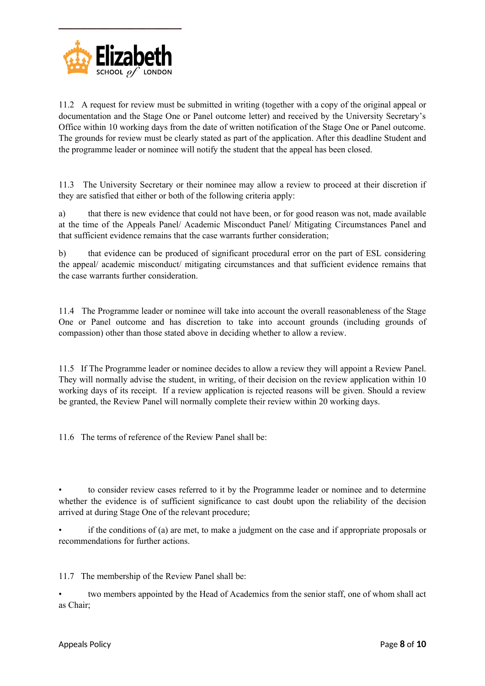

11.2 A request for review must be submitted in writing (together with a copy of the original appeal or documentation and the Stage One or Panel outcome letter) and received by the University Secretary's Office within 10 working days from the date of written notification of the Stage One or Panel outcome. The grounds for review must be clearly stated as part of the application. After this deadline Student and the programme leader or nominee will notify the student that the appeal has been closed.

11.3 The University Secretary or their nominee may allow a review to proceed at their discretion if they are satisfied that either or both of the following criteria apply:

a) that there is new evidence that could not have been, or for good reason was not, made available at the time of the Appeals Panel/ Academic Misconduct Panel/ Mitigating Circumstances Panel and that sufficient evidence remains that the case warrants further consideration;

b) that evidence can be produced of significant procedural error on the part of ESL considering the appeal/ academic misconduct/ mitigating circumstances and that sufficient evidence remains that the case warrants further consideration.

11.4 The Programme leader or nominee will take into account the overall reasonableness of the Stage One or Panel outcome and has discretion to take into account grounds (including grounds of compassion) other than those stated above in deciding whether to allow a review.

11.5 If The Programme leader or nominee decides to allow a review they will appoint a Review Panel. They will normally advise the student, in writing, of their decision on the review application within 10 working days of its receipt. If a review application is rejected reasons will be given. Should a review be granted, the Review Panel will normally complete their review within 20 working days.

11.6 The terms of reference of the Review Panel shall be:

• to consider review cases referred to it by the Programme leader or nominee and to determine whether the evidence is of sufficient significance to cast doubt upon the reliability of the decision arrived at during Stage One of the relevant procedure;

• if the conditions of (a) are met, to make a judgment on the case and if appropriate proposals or recommendations for further actions.

11.7 The membership of the Review Panel shall be:

• two members appointed by the Head of Academics from the senior staff, one of whom shall act as Chair;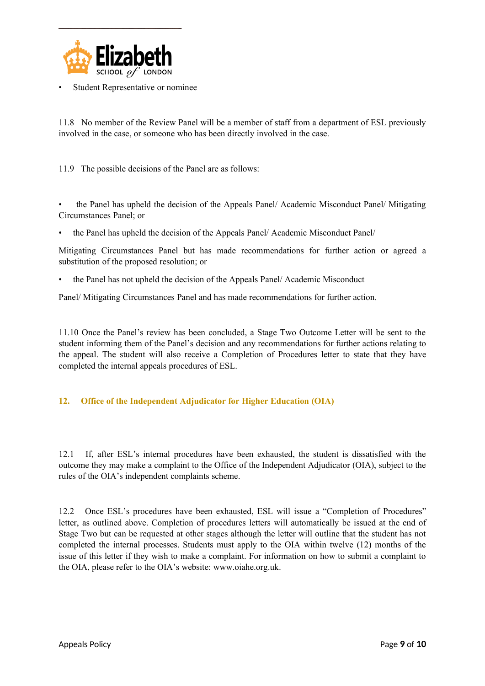

Student Representative or nominee

11.8 No member of the Review Panel will be a member of staff from a department of ESL previously involved in the case, or someone who has been directly involved in the case.

11.9 The possible decisions of the Panel are as follows:

• the Panel has upheld the decision of the Appeals Panel/ Academic Misconduct Panel/ Mitigating Circumstances Panel; or

• the Panel has upheld the decision of the Appeals Panel/ Academic Misconduct Panel/

Mitigating Circumstances Panel but has made recommendations for further action or agreed a substitution of the proposed resolution; or

• the Panel has not upheld the decision of the Appeals Panel/ Academic Misconduct

Panel/ Mitigating Circumstances Panel and has made recommendations for further action.

11.10 Once the Panel's review has been concluded, a Stage Two Outcome Letter will be sent to the student informing them of the Panel's decision and any recommendations for further actions relating to the appeal. The student will also receive a Completion of Procedures letter to state that they have completed the internal appeals procedures of ESL.

## **12. Office of the Independent Adjudicator for Higher Education (OIA)**

12.1 If, after ESL's internal procedures have been exhausted, the student is dissatisfied with the outcome they may make a complaint to the Office of the Independent Adjudicator (OIA), subject to the rules of the OIA's independent complaints scheme.

12.2 Once ESL's procedures have been exhausted, ESL will issue a "Completion of Procedures" letter, as outlined above. Completion of procedures letters will automatically be issued at the end of Stage Two but can be requested at other stages although the letter will outline that the student has not completed the internal processes. Students must apply to the OIA within twelve (12) months of the issue of this letter if they wish to make a complaint. For information on how to submit a complaint to the OIA, please refer to the OIA's website: www.oiahe.org.uk.